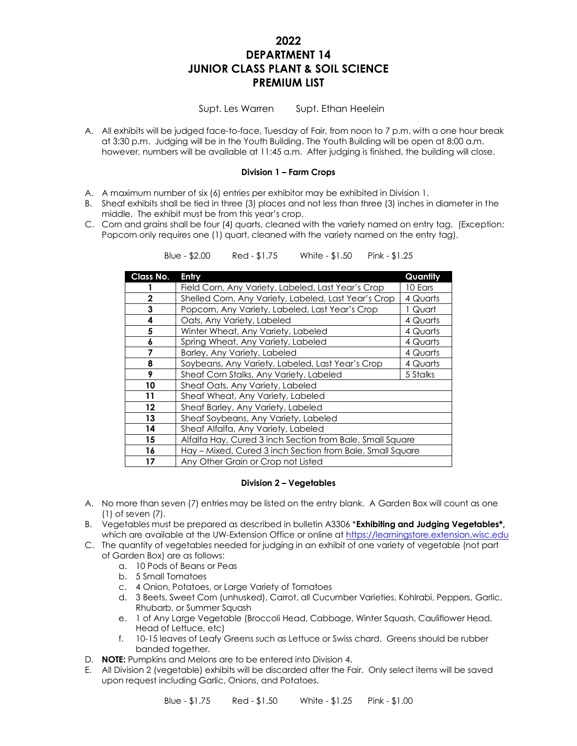# **2022 DEPARTMENT 14 JUNIOR CLASS PLANT & SOIL SCIENCE PREMIUM LIST**

Supt. Les Warren Supt. Ethan Heelein

A. All exhibits will be judged face-to-face, Tuesday of Fair, from noon to 7 p.m. with a one hour break at 3:30 p.m. Judging will be in the Youth Building. The Youth Building will be open at 8:00 a.m. however, numbers will be available at 11:45 a.m. After judging is finished, the building will close.

### **Division 1 – Farm Crops**

- A. A maximum number of six (6) entries per exhibitor may be exhibited in Division 1.
- B. Sheaf exhibits shall be tied in three (3) places and not less than three (3) inches in diameter in the middle. The exhibit must be from this year's crop.
- C. Corn and grains shall be four (4) quarts, cleaned with the variety named on entry tag. (Exception: Popcorn only requires one (1) quart, cleaned with the variety named on the entry tag).

| Class No.    | Entry                                                     | Quantity |
|--------------|-----------------------------------------------------------|----------|
|              | Field Corn, Any Variety, Labeled, Last Year's Crop        | 10 Ears  |
| $\mathbf{2}$ | Shelled Corn, Any Variety, Labeled, Last Year's Crop      | 4 Quarts |
| 3            | Popcorn, Any Variety, Labeled, Last Year's Crop           | 1 Quart  |
| 4            | Oats, Any Variety, Labeled                                | 4 Quarts |
| 5            | Winter Wheat, Any Variety, Labeled                        | 4 Quarts |
| 6            | Spring Wheat, Any Variety, Labeled                        | 4 Quarts |
| 7            | Barley, Any Variety, Labeled                              | 4 Quarts |
| 8            | Soybeans, Any Variety, Labeled, Last Year's Crop          | 4 Quarts |
| 9            | Sheaf Corn Stalks, Any Variety, Labeled                   | 5 Stalks |
| 10           | Sheaf Oats, Any Variety, Labeled                          |          |
| 11           | Sheaf Wheat, Any Variety, Labeled                         |          |
| $12 \,$      | Sheaf Barley, Any Variety, Labeled                        |          |
| 13           | Sheaf Soybeans, Any Variety, Labeled                      |          |
| 14           | Sheaf Alfalfa, Any Variety, Labeled                       |          |
| 15           | Alfalfa Hay, Cured 3 inch Section from Bale, Small Square |          |
| 16           | Hay - Mixed, Cured 3 inch Section from Bale, Small Square |          |
| 17           | Any Other Grain or Crop not Listed                        |          |

Blue - \$2.00 Red - \$1.75 White - \$1.50 Pink - \$1.25

### **Division 2 – Vegetables**

- A. No more than seven (7) entries may be listed on the entry blank. A Garden Box will count as one (1) of seven (7).
- B. Vegetables must be prepared as described in bulletin A3306 \***Exhibiting and Judging Vegetables\*,**  which are available at the UW-Extension Office or online at [https://learningstore.extension.wisc.edu](https://learningstore.extension.wisc.edu/)
- C. The quantity of vegetables needed for judging in an exhibit of one variety of vegetable (not part of Garden Box) are as follows:
	- a. 10 Pods of Beans or Peas
	- b. 5 Small Tomatoes
	- c. 4 Onion, Potatoes, or Large Variety of Tomatoes
	- d. 3 Beets, Sweet Corn (unhusked), Carrot, all Cucumber Varieties, Kohlrabi, Peppers, Garlic, Rhubarb, or Summer Squash
	- e. 1 of Any Large Vegetable (Broccoli Head, Cabbage, Winter Squash, Cauliflower Head, Head of Lettuce, etc)
	- f. 10-15 leaves of Leafy Greens such as Lettuce or Swiss chard. Greens should be rubber banded together.
- D. **NOTE:** Pumpkins and Melons are to be entered into Division 4.
- E. All Division 2 (vegetable) exhibits will be discarded after the Fair. Only select items will be saved upon request including Garlic, Onions, and Potatoes.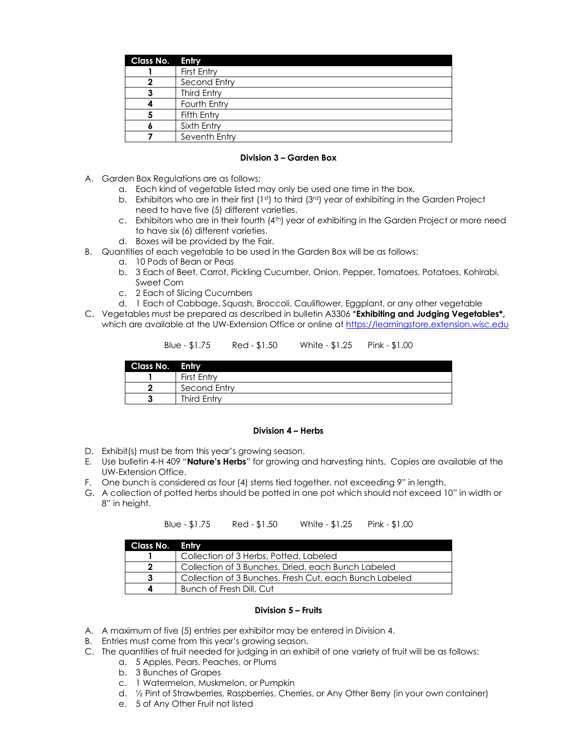| <b>Class No. Entry</b> |                    |
|------------------------|--------------------|
|                        | First Entry        |
|                        | Second Entry       |
|                        | <b>Third Entry</b> |
|                        | Fourth Entry       |
|                        | Fifth Entry        |
|                        | Sixth Entry        |
|                        | Seventh Entry      |

# **Division 3 – Garden Box**

- A. Garden Box Regulations are as follows:
	- a. Each kind of vegetable listed may only be used one time in the box.
	- b. Exhibitors who are in their first  $(1<sup>st</sup>)$  to third  $(3<sup>rd</sup>)$  year of exhibiting in the Garden Project need to have five (5) different varieties.
	- c. Exhibitors who are in their fourth (4<sup>th</sup>) year of exhibiting in the Garden Project or more need to have six (6) different varieties.
	- d. Boxes will be provided by the Fair.
- B. Quantities of each vegetable to be used in the Garden Box will be as follows:
	- a. 10 Pods of Bean or Peas
	- b. 3 Each of Beet, Carrot, Pickling Cucumber, Onion, Pepper, Tomatoes, Potatoes, Kohlrabi, Sweet Corn
	- c. 2 Each of Slicing Cucumbers
	- d. 1 Each of Cabbage, Squash, Broccoli, Cauliflower, Eggplant, or any other vegetable
- C. Vegetables must be prepared as described in bulletin A3306 \***Exhibiting and Judging Vegetables\*,**  which are available at the UW-Extension Office or online at [https://learningstore.extension.wisc.edu](https://learningstore.extension.wisc.edu/)

| Blue - \$1.75 | Red - \$1.50 | White - \$1.25 | Pink - \$1.00 |
|---------------|--------------|----------------|---------------|
|               |              |                |               |

| Class No. Entry |                    |
|-----------------|--------------------|
|                 | First Entry        |
|                 | Second Entry       |
|                 | <b>Third Entry</b> |

## **Division 4 – Herbs**

- D. Exhibit(s) must be from this year's growing season.
- E. Use bulletin 4-H 409 "**Nature's Herbs**" for growing and harvesting hints. Copies are available at the UW-Extension Office.
- F. One bunch is considered as four (4) stems tied together, not exceeding 9" in length.
- G. A collection of potted herbs should be potted in one pot which should not exceed 10" in width or 8" in height.

| Class No. Entry |                                                        |
|-----------------|--------------------------------------------------------|
|                 | Collection of 3 Herbs, Potted, Labeled                 |
|                 | Collection of 3 Bunches, Dried, each Bunch Labeled     |
|                 | Collection of 3 Bunches, Fresh Cut, each Bunch Labeled |
|                 | Bunch of Fresh Dill, Cut                               |

Blue - \$1.75 Red - \$1.50 White - \$1.25 Pink - \$1.00

#### **Division 5 – Fruits**

- A. A maximum of five (5) entries per exhibitor may be entered in Division 4.
- B. Entries must come from this year's growing season.
- C. The quantities of fruit needed for judging in an exhibit of one variety of fruit will be as follows:
	- a. 5 Apples, Pears, Peaches, or Plums
	- b. 3 Bunches of Grapes
	- c. 1 Watermelon, Muskmelon, or Pumpkin
	- d. ½ Pint of Strawberries, Raspberries, Cherries, or Any Other Berry (in your own container)
	- e. 5 of Any Other Fruit not listed